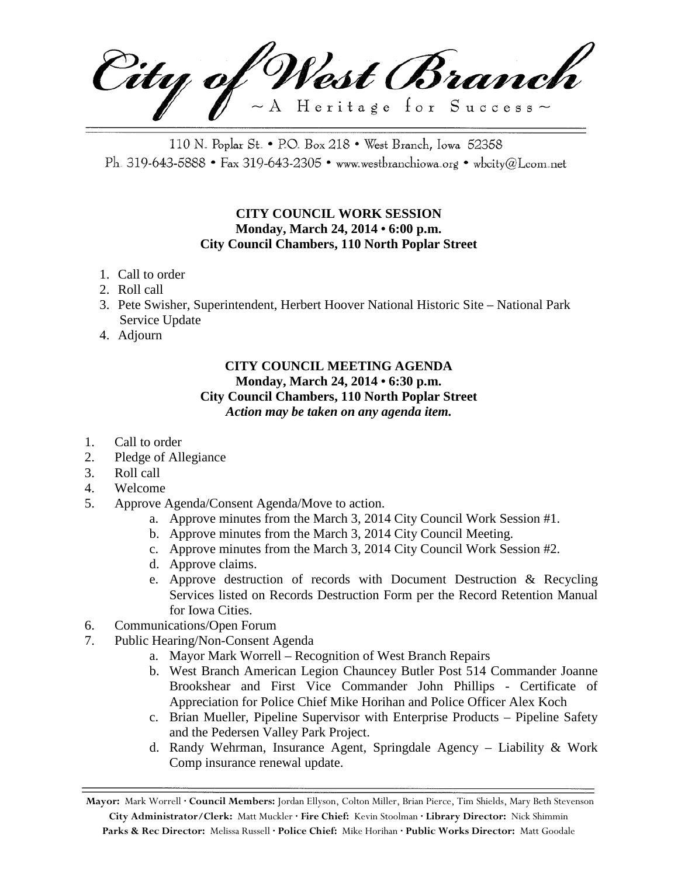City of West Branch  $\sim$  A Heritage for Success $\sim$ 

110 N. Poplar St. • P.O. Box 218 • West Branch, Iowa 52358 Ph. 319-643-5888 • Fax 319-643-2305 • www.westbranchiowa.org • wbcity@Lcom.net

## **CITY COUNCIL WORK SESSION Monday, March 24, 2014 • 6:00 p.m. City Council Chambers, 110 North Poplar Street**

- 1. Call to order
- 2. Roll call
- 3. Pete Swisher, Superintendent, Herbert Hoover National Historic Site National Park Service Update
- 4. Adjourn

## **CITY COUNCIL MEETING AGENDA Monday, March 24, 2014 • 6:30 p.m. City Council Chambers, 110 North Poplar Street** *Action may be taken on any agenda item.*

- 1. Call to order
- 2. Pledge of Allegiance
- 3. Roll call
- 4. Welcome
- 5. Approve Agenda/Consent Agenda/Move to action.
	- a. Approve minutes from the March 3, 2014 City Council Work Session #1.
	- b. Approve minutes from the March 3, 2014 City Council Meeting.
	- c. Approve minutes from the March 3, 2014 City Council Work Session #2.
	- d. Approve claims.
	- e. Approve destruction of records with Document Destruction & Recycling Services listed on Records Destruction Form per the Record Retention Manual for Iowa Cities.
- 6. Communications/Open Forum
- 7. Public Hearing/Non-Consent Agenda
	- a. Mayor Mark Worrell Recognition of West Branch Repairs
	- b. West Branch American Legion Chauncey Butler Post 514 Commander Joanne Brookshear and First Vice Commander John Phillips - Certificate of Appreciation for Police Chief Mike Horihan and Police Officer Alex Koch
	- c. Brian Mueller, Pipeline Supervisor with Enterprise Products Pipeline Safety and the Pedersen Valley Park Project.
	- d. Randy Wehrman, Insurance Agent, Springdale Agency Liability & Work Comp insurance renewal update.

**Mayor:** Mark Worrell **· Council Members:** Jordan Ellyson, Colton Miller, Brian Pierce, Tim Shields, Mary Beth Stevenson **City Administrator/Clerk:** Matt Muckler **· Fire Chief:** Kevin Stoolman **· Library Director:** Nick Shimmin **Parks & Rec Director:** Melissa Russell **· Police Chief:** Mike Horihan **· Public Works Director:** Matt Goodale